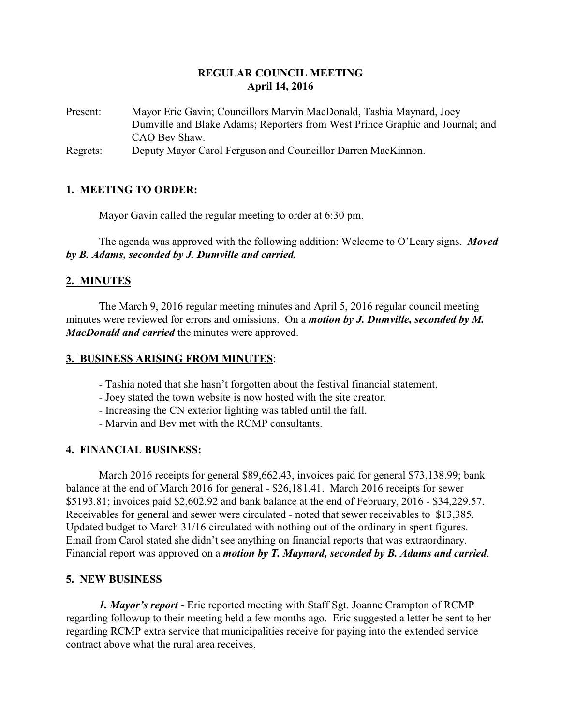## **REGULAR COUNCIL MEETING April 14, 2016**

Present: Mayor Eric Gavin; Councillors Marvin MacDonald, Tashia Maynard, Joey Dumville and Blake Adams; Reporters from West Prince Graphic and Journal; and CAO Bev Shaw.

Regrets: Deputy Mayor Carol Ferguson and Councillor Darren MacKinnon.

## **1. MEETING TO ORDER:**

Mayor Gavin called the regular meeting to order at 6:30 pm.

The agenda was approved with the following addition: Welcome to O'Leary signs. *Moved by B. Adams, seconded by J. Dumville and carried.*

## **2. MINUTES**

The March 9, 2016 regular meeting minutes and April 5, 2016 regular council meeting minutes were reviewed for errors and omissions. On a *motion by J. Dumville, seconded by M. MacDonald and carried* the minutes were approved.

#### **3. BUSINESS ARISING FROM MINUTES**:

- Tashia noted that she hasn't forgotten about the festival financial statement.
- Joey stated the town website is now hosted with the site creator.
- Increasing the CN exterior lighting was tabled until the fall.
- Marvin and Bev met with the RCMP consultants.

## **4. FINANCIAL BUSINESS:**

March 2016 receipts for general \$89,662.43, invoices paid for general \$73,138.99; bank balance at the end of March 2016 for general - \$26,181.41. March 2016 receipts for sewer \$5193.81; invoices paid \$2,602.92 and bank balance at the end of February, 2016 - \$34,229.57. Receivables for general and sewer were circulated - noted that sewer receivables to \$13,385. Updated budget to March 31/16 circulated with nothing out of the ordinary in spent figures. Email from Carol stated she didn't see anything on financial reports that was extraordinary. Financial report was approved on a *motion by T. Maynard, seconded by B. Adams and carried*.

## **5. NEW BUSINESS**

*1. Mayor's report* - Eric reported meeting with Staff Sgt. Joanne Crampton of RCMP regarding followup to their meeting held a few months ago. Eric suggested a letter be sent to her regarding RCMP extra service that municipalities receive for paying into the extended service contract above what the rural area receives.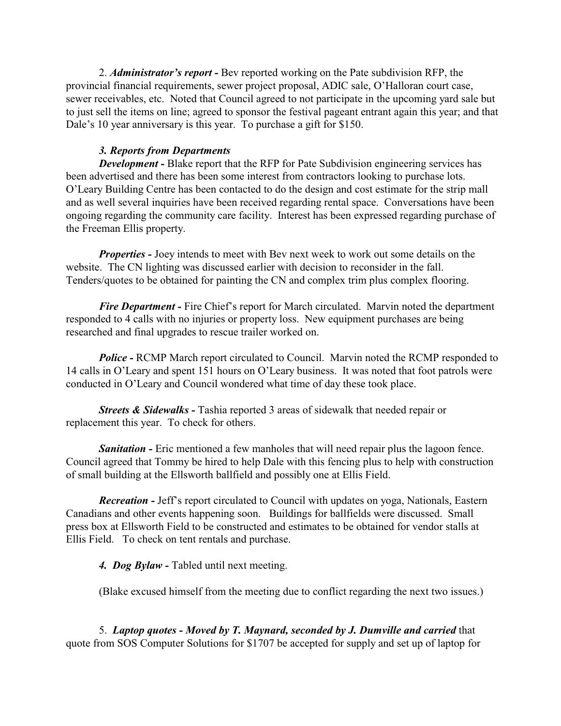2. *Administrator's report -* Bev reported working on the Pate subdivision RFP, the provincial financial requirements, sewer project proposal, ADIC sale, O'Halloran court case, sewer receivables, etc. Noted that Council agreed to not participate in the upcoming yard sale but to just sell the items on line; agreed to sponsor the festival pageant entrant again this year; and that Dale's 10 year anniversary is this year. To purchase a gift for \$150.

#### *3. Reports from Departments*

*Development* - Blake report that the RFP for Pate Subdivision engineering services has been advertised and there has been some interest from contractors looking to purchase lots. O'Leary Building Centre has been contacted to do the design and cost estimate for the strip mall and as well several inquiries have been received regarding rental space. Conversations have been ongoing regarding the community care facility. Interest has been expressed regarding purchase of the Freeman Ellis property.

*Properties -* Joey intends to meet with Bev next week to work out some details on the website. The CN lighting was discussed earlier with decision to reconsider in the fall. Tenders/quotes to be obtained for painting the CN and complex trim plus complex flooring.

*Fire Department* - Fire Chief's report for March circulated. Marvin noted the department responded to 4 calls with no injuries or property loss. New equipment purchases are being researched and final upgrades to rescue trailer worked on.

*Police -* RCMP March report circulated to Council. Marvin noted the RCMP responded to 14 calls in O'Leary and spent 151 hours on O'Leary business. It was noted that foot patrols were conducted in O'Leary and Council wondered what time of day these took place.

*Streets & Sidewalks -* Tashia reported 3 areas of sidewalk that needed repair or replacement this year. To check for others.

*Sanitation* - Eric mentioned a few manholes that will need repair plus the lagoon fence. Council agreed that Tommy be hired to help Dale with this fencing plus to help with construction of small building at the Ellsworth ballfield and possibly one at Ellis Field.

*Recreation -* Jeff's report circulated to Council with updates on yoga, Nationals, Eastern Canadians and other events happening soon. Buildings for ballfields were discussed. Small press box at Ellsworth Field to be constructed and estimates to be obtained for vendor stalls at Ellis Field. To check on tent rentals and purchase.

*4. Dog Bylaw -* Tabled until next meeting.

(Blake excused himself from the meeting due to conflict regarding the next two issues.)

5. *Laptop quotes - Moved by T. Maynard, seconded by J. Dumville and carried* that quote from SOS Computer Solutions for \$1707 be accepted for supply and set up of laptop for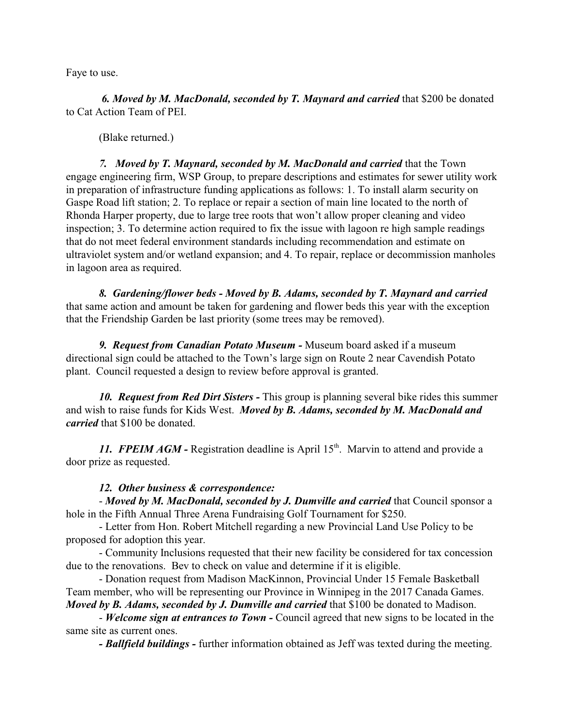Faye to use.

*6. Moved by M. MacDonald, seconded by T. Maynard and carried* that \$200 be donated to Cat Action Team of PEI.

(Blake returned.)

*7. Moved by T. Maynard, seconded by M. MacDonald and carried* that the Town engage engineering firm, WSP Group, to prepare descriptions and estimates for sewer utility work in preparation of infrastructure funding applications as follows: 1. To install alarm security on Gaspe Road lift station; 2. To replace or repair a section of main line located to the north of Rhonda Harper property, due to large tree roots that won't allow proper cleaning and video inspection; 3. To determine action required to fix the issue with lagoon re high sample readings that do not meet federal environment standards including recommendation and estimate on ultraviolet system and/or wetland expansion; and 4. To repair, replace or decommission manholes in lagoon area as required.

*8. Gardening/flower beds - Moved by B. Adams, seconded by T. Maynard and carried* that same action and amount be taken for gardening and flower beds this year with the exception that the Friendship Garden be last priority (some trees may be removed).

*9. Request from Canadian Potato Museum -* Museum board asked if a museum directional sign could be attached to the Town's large sign on Route 2 near Cavendish Potato plant. Council requested a design to review before approval is granted.

*10. Request from Red Dirt Sisters -* This group is planning several bike rides this summer and wish to raise funds for Kids West. *Moved by B. Adams, seconded by M. MacDonald and carried* that \$100 be donated.

11. FPEIM AGM - Registration deadline is April 15<sup>th</sup>. Marvin to attend and provide a door prize as requested.

#### *12. Other business & correspondence:*

- *Moved by M. MacDonald, seconded by J. Dumville and carried* that Council sponsor a hole in the Fifth Annual Three Arena Fundraising Golf Tournament for \$250.

- Letter from Hon. Robert Mitchell regarding a new Provincial Land Use Policy to be proposed for adoption this year.

- Community Inclusions requested that their new facility be considered for tax concession due to the renovations. Bev to check on value and determine if it is eligible.

- Donation request from Madison MacKinnon, Provincial Under 15 Female Basketball Team member, who will be representing our Province in Winnipeg in the 2017 Canada Games. *Moved by B. Adams, seconded by J. Dumville and carried that \$100 be donated to Madison.* 

- *Welcome sign at entrances to Town -* Council agreed that new signs to be located in the same site as current ones.

*- Ballfield buildings -* further information obtained as Jeff was texted during the meeting.